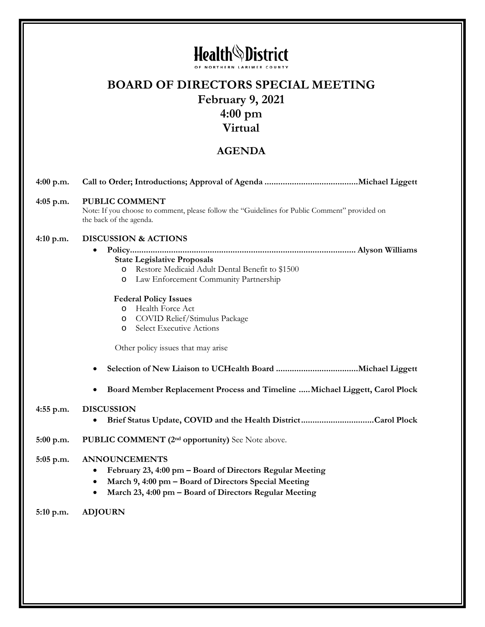|               | NORTHERN LARIMER CO<br><b>BOARD OF DIRECTORS SPECIAL MEETING</b><br>February 9, 2021<br>$4:00 \text{ pm}$<br>Virtual                                                                                                                                                                                                                                                                                                                                             |
|---------------|------------------------------------------------------------------------------------------------------------------------------------------------------------------------------------------------------------------------------------------------------------------------------------------------------------------------------------------------------------------------------------------------------------------------------------------------------------------|
| <b>AGENDA</b> |                                                                                                                                                                                                                                                                                                                                                                                                                                                                  |
| 4:00 p.m.     |                                                                                                                                                                                                                                                                                                                                                                                                                                                                  |
| 4:05 p.m.     | <b>PUBLIC COMMENT</b><br>Note: If you choose to comment, please follow the "Guidelines for Public Comment" provided on<br>the back of the agenda.                                                                                                                                                                                                                                                                                                                |
| 4:10 p.m.     | <b>DISCUSSION &amp; ACTIONS</b><br>٠<br><b>State Legislative Proposals</b><br>O Restore Medicaid Adult Dental Benefit to \$1500<br>Law Enforcement Community Partnership<br>$\circ$<br><b>Federal Policy Issues</b><br>Health Force Act<br>$\circ$<br>COVID Relief/Stimulus Package<br>O<br><b>Select Executive Actions</b><br>$\circ$<br>Other policy issues that may arise<br>Board Member Replacement Process and Timeline  Michael Liggett, Carol Plock<br>٠ |
| $4:55$ p.m.   | <b>DISCUSSION</b>                                                                                                                                                                                                                                                                                                                                                                                                                                                |
| $5:00$ p.m.   | <b>PUBLIC COMMENT</b> (2 <sup>nd</sup> opportunity) See Note above.                                                                                                                                                                                                                                                                                                                                                                                              |
| 5:05 p.m.     | <b>ANNOUNCEMENTS</b><br>February 23, 4:00 pm – Board of Directors Regular Meeting<br>March 9, 4:00 pm - Board of Directors Special Meeting<br>March 23, 4:00 pm - Board of Directors Regular Meeting<br>٠                                                                                                                                                                                                                                                        |
| 5:10 p.m.     | <b>ADJOURN</b>                                                                                                                                                                                                                                                                                                                                                                                                                                                   |